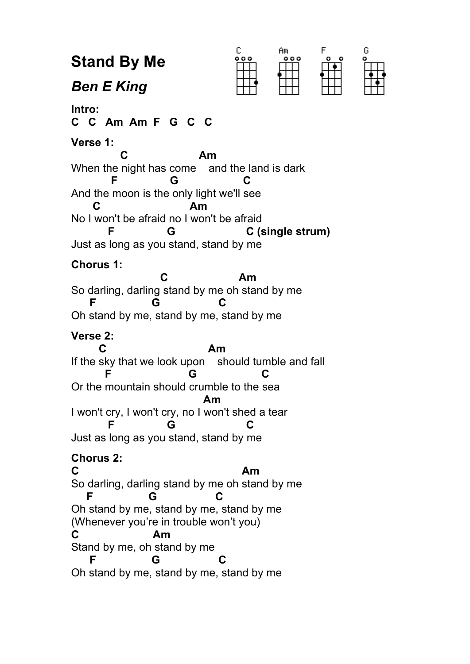**Stand By Me** 

| C   | ĤM  |        | Ğ |
|-----|-----|--------|---|
| 000 | 000 | ۵<br>۰ | ۰ |
|     |     |        |   |

*Ben E King* 

**Intro: C C Am Am F G C C Verse 1: C** Am When the night has come and the land is dark  **F G C** And the moon is the only light we'll see **C** Am No I won't be afraid no I won't be afraid  **F G C (single strum)** Just as long as you stand, stand by me **Chorus 1: C** Am So darling, darling stand by me oh stand by me  **F G C** Oh stand by me, stand by me, stand by me **Verse 2: C** Am If the sky that we look upon should tumble and fall  **F G C** Or the mountain should crumble to the sea *Am* I won't cry, I won't cry, no I won't shed a tear  **F G C** Just as long as you stand, stand by me **Chorus 2: C** Am So darling, darling stand by me oh stand by me  **F G C** Oh stand by me, stand by me, stand by me (Whenever you're in trouble won't you) **C Am** Stand by me, oh stand by me  **F G C** Oh stand by me, stand by me, stand by me